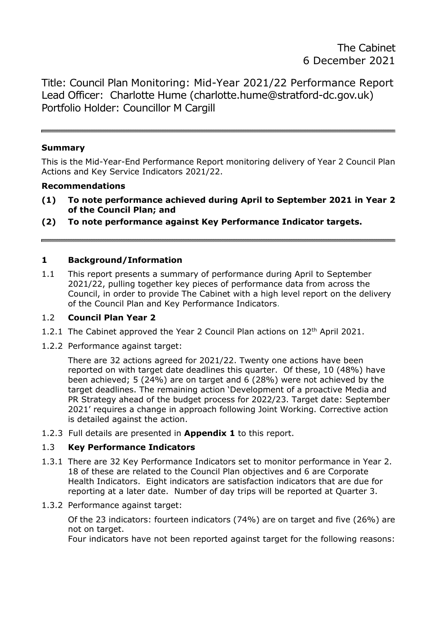Title: Council Plan Monitoring: Mid-Year 2021/22 Performance Report Lead Officer: Charlotte Hume (charlotte.hume@stratford-dc.gov.uk) Portfolio Holder: Councillor M Cargill

#### **Summary**

This is the Mid-Year-End Performance Report monitoring delivery of Year 2 Council Plan Actions and Key Service Indicators 2021/22.

#### **Recommendations**

- **(1) To note performance achieved during April to September 2021 in Year 2 of the Council Plan; and**
- **(2) To note performance against Key Performance Indicator targets.**

#### **1 Background/Information**

1.1 This report presents a summary of performance during April to September 2021/22, pulling together key pieces of performance data from across the Council, in order to provide The Cabinet with a high level report on the delivery of the Council Plan and Key Performance Indicators.

### 1.2 **Council Plan Year 2**

- 1.2.1 The Cabinet approved the Year 2 Council Plan actions on 12<sup>th</sup> April 2021.
- 1.2.2 Performance against target:

There are 32 actions agreed for 2021/22. Twenty one actions have been reported on with target date deadlines this quarter. Of these, 10 (48%) have been achieved; 5 (24%) are on target and 6 (28%) were not achieved by the target deadlines. The remaining action 'Development of a proactive Media and PR Strategy ahead of the budget process for 2022/23. Target date: September 2021' requires a change in approach following Joint Working. Corrective action is detailed against the action.

1.2.3 Full details are presented in **Appendix 1** to this report.

#### 1.3 **Key Performance Indicators**

- 1.3.1 There are 32 Key Performance Indicators set to monitor performance in Year 2. 18 of these are related to the Council Plan objectives and 6 are Corporate Health Indicators. Eight indicators are satisfaction indicators that are due for reporting at a later date. Number of day trips will be reported at Quarter 3.
- 1.3.2 Performance against target:

Of the 23 indicators: fourteen indicators (74%) are on target and five (26%) are not on target.

Four indicators have not been reported against target for the following reasons: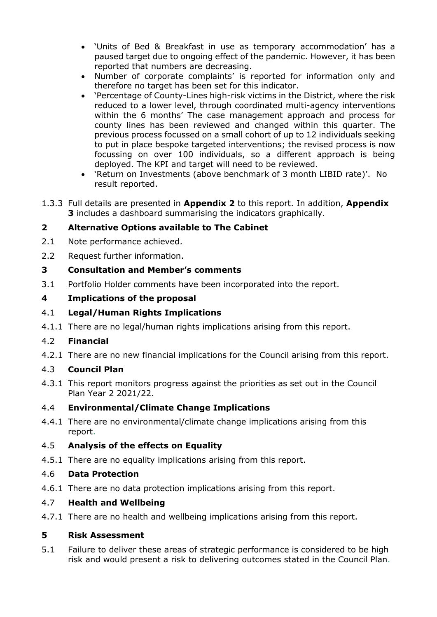- 'Units of Bed & Breakfast in use as temporary accommodation' has a paused target due to ongoing effect of the pandemic. However, it has been reported that numbers are decreasing.
- Number of corporate complaints' is reported for information only and therefore no target has been set for this indicator.
- 'Percentage of County-Lines high-risk victims in the District, where the risk reduced to a lower level, through coordinated multi-agency interventions within the 6 months' The case management approach and process for county lines has been reviewed and changed within this quarter. The previous process focussed on a small cohort of up to 12 individuals seeking to put in place bespoke targeted interventions; the revised process is now focussing on over 100 individuals, so a different approach is being deployed. The KPI and target will need to be reviewed.
- 'Return on Investments (above benchmark of 3 month LIBID rate)'. No result reported.
- 1.3.3 Full details are presented in **Appendix 2** to this report. In addition, **Appendix 3** includes a dashboard summarising the indicators graphically.

# **2 Alternative Options available to The Cabinet**

- 2.1 Note performance achieved.
- 2.2 Request further information.

### **3 Consultation and Member's comments**

3.1 Portfolio Holder comments have been incorporated into the report.

### **4 Implications of the proposal**

### 4.1 **Legal/Human Rights Implications**

4.1.1 There are no legal/human rights implications arising from this report.

# 4.2 **Financial**

4.2.1 There are no new financial implications for the Council arising from this report.

# 4.3 **Council Plan**

4.3.1 This report monitors progress against the priorities as set out in the Council Plan Year 2 2021/22.

# 4.4 **Environmental/Climate Change Implications**

4.4.1 There are no environmental/climate change implications arising from this report.

# 4.5 **Analysis of the effects on Equality**

4.5.1 There are no equality implications arising from this report.

#### 4.6 **Data Protection**

4.6.1 There are no data protection implications arising from this report.

#### 4.7 **Health and Wellbeing**

4.7.1 There are no health and wellbeing implications arising from this report.

# **5 Risk Assessment**

5.1 Failure to deliver these areas of strategic performance is considered to be high risk and would present a risk to delivering outcomes stated in the Council Plan.